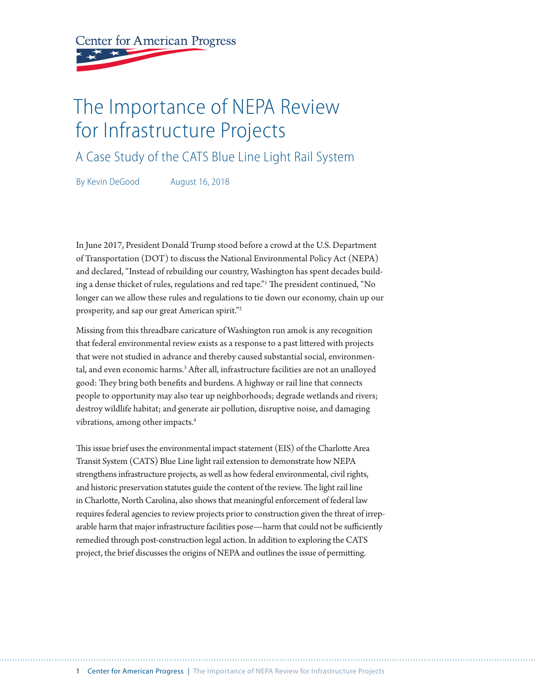<span id="page-0-0"></span>**Center for American Progress** 

# The Importance of NEPA Review for Infrastructure Projects

A Case Study of the CATS Blue Line Light Rail System

By Kevin DeGood August 16, 2018

In June 2017, President Donald Trump stood before a crowd at the U.S. Department of Transportation (DOT) to discuss the National Environmental Policy Act (NEPA) and declared, "Instead of rebuilding our country, Washington has spent decades build-ing a dense thicket of rules, regulations and red tape."<sup>[1](#page-14-0)</sup> The president continued, "No longer can we allow these rules and regulations to tie down our economy, chain up our prosperity, and sap our great American spirit."[2](#page-14-0)

Missing from this threadbare caricature of Washington run amok is any recognition that federal environmental review exists as a response to a past litered with projects that were not studied in advance and thereby caused substantial social, environmental, and even economic harms.[3](#page-14-0) Afer all, infrastructure facilities are not an unalloyed good: They bring both benefits and burdens. A highway or rail line that connects people to opportunity may also tear up neighborhoods; degrade wetlands and rivers; destroy wildlife habitat; and generate air pollution, disruptive noise, and damaging vibrations, among other impacts.<sup>[4](#page-14-0)</sup>

This issue brief uses the environmental impact statement (EIS) of the Charlotte Area Transit System (CATS) Blue Line light rail extension to demonstrate how NEPA strengthens infrastructure projects, as well as how federal environmental, civil rights, and historic preservation statutes guide the content of the review. The light rail line in Charlote, North Carolina, also shows that meaningful enforcement of federal law requires federal agencies to review projects prior to construction given the threat of irreparable harm that major infrastructure facilities pose—harm that could not be sufficiently remedied through post-construction legal action. In addition to exploring the CATS project, the brief discusses the origins of NEPA and outlines the issue of permiting.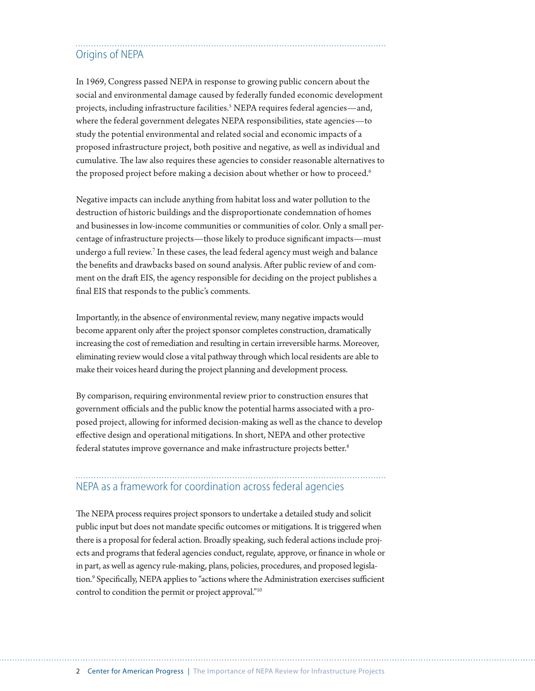## <span id="page-1-0"></span>Origins of NEPA

In 1969, Congress passed NEPA in response to growing public concern about the social and environmental damage caused by federally funded economic development projects, including infrastructure facilities.<sup>5</sup> NEPA requires federal agencies—and, where the federal government delegates NEPA responsibilities, state agencies—to study the potential environmental and related social and economic impacts of a proposed infrastructure project, both positive and negative, as well as individual and cumulative. The law also requires these agencies to consider reasonable alternatives to the proposed project before making a decision about whether or how to proceed.<sup>[6](#page-14-0)</sup>

Negative impacts can include anything from habitat loss and water pollution to the destruction of historic buildings and the disproportionate condemnation of homes and businesses in low-income communities or communities of color. Only a small percentage of infrastructure projects—those likely to produce signifcant impacts—must undergo a full review.[7](#page-14-0) In these cases, the lead federal agency must weigh and balance the benefts and drawbacks based on sound analysis. Afer public review of and comment on the draft EIS, the agency responsible for deciding on the project publishes a fnal EIS that responds to the public's comments.

Importantly, in the absence of environmental review, many negative impacts would become apparent only after the project sponsor completes construction, dramatically increasing the cost of remediation and resulting in certain irreversible harms. Moreover, eliminating review would close a vital pathway through which local residents are able to make their voices heard during the project planning and development process.

By comparison, requiring environmental review prior to construction ensures that government officials and the public know the potential harms associated with a proposed project, allowing for informed decision-making as well as the chance to develop efective design and operational mitigations. In short, NEPA and other protective federal statutes improve governance and make infrastructure projects better.<sup>[8](#page-14-0)</sup>

## NEPA as a framework for coordination across federal agencies

The NEPA process requires project sponsors to undertake a detailed study and solicit public input but does not mandate specifc outcomes or mitigations. It is triggered when there is a proposal for federal action. Broadly speaking, such federal actions include projects and programs that federal agencies conduct, regulate, approve, or fnance in whole or in part, as well as agency rule-making, plans, policies, procedures, and proposed legislation.<sup>9</sup> Specifically, NEPA applies to "actions where the Administration exercises sufficient control to condition the permit or project approval.["10](#page-14-0)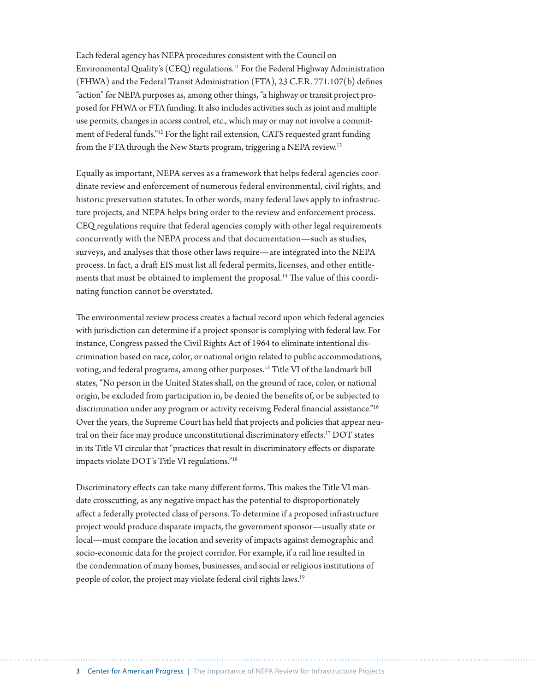Each federal agency has NEPA procedures consistent with the Council on Environmental Quality's (CEQ) regulations.[11](#page-14-0) For the Federal Highway Administration (FHWA) and the Federal Transit Administration (FTA), 23 C.F.R. 771.107(b) defnes "action" for NEPA purposes as, among other things, "a highway or transit project proposed for FHWA or FTA funding. It also includes activities such as joint and multiple use permits, changes in access control, etc., which may or may not involve a commitment of Federal funds."[12](#page-14-0) For the light rail extension, CATS requested grant funding from the FTA through the New Starts program, triggering a NEPA review[.13](#page-14-0)

Equally as important, NEPA serves as a framework that helps federal agencies coordinate review and enforcement of numerous federal environmental, civil rights, and historic preservation statutes. In other words, many federal laws apply to infrastructure projects, and NEPA helps bring order to the review and enforcement process. CEQ regulations require that federal agencies comply with other legal requirements concurrently with the NEPA process and that documentation—such as studies, surveys, and analyses that those other laws require—are integrated into the NEPA process. In fact, a draft EIS must list all federal permits, licenses, and other entitle-ments that must be obtained to implement the proposal.<sup>[14](#page-14-0)</sup> The value of this coordinating function cannot be overstated.

The environmental review process creates a factual record upon which federal agencies with jurisdiction can determine if a project sponsor is complying with federal law. For instance, Congress passed the Civil Rights Act of 1964 to eliminate intentional discrimination based on race, color, or national origin related to public accommodations, voting, and federal programs, among other purposes.[15](#page-14-0) Title VI of the landmark bill states, "No person in the United States shall, on the ground of race, color, or national origin, be excluded from participation in, be denied the benefts of, or be subjected to discrimination under any program or activity receiving Federal financial assistance."<sup>16</sup> Over the years, the Supreme Court has held that projects and policies that appear neutral on their face may produce unconstitutional discriminatory efects[.17](#page-14-0) DOT states in its Title VI circular that "practices that result in discriminatory efects or disparate impacts violate DOT's Title VI regulations."[18](#page-14-0)

Discriminatory effects can take many different forms. This makes the Title VI mandate crosscuting, as any negative impact has the potential to disproportionately afect a federally protected class of persons. To determine if a proposed infrastructure project would produce disparate impacts, the government sponsor—usually state or local—must compare the location and severity of impacts against demographic and socio-economic data for the project corridor. For example, if a rail line resulted in the condemnation of many homes, businesses, and social or religious institutions of people of color, the project may violate federal civil rights laws.[19](#page-14-0)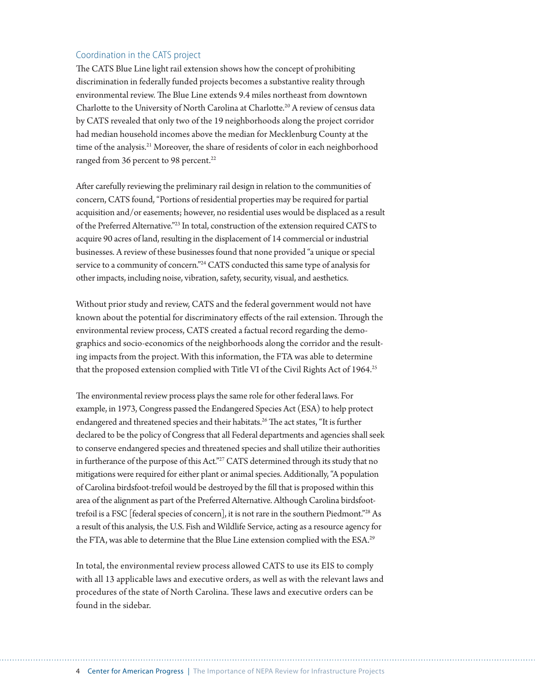## Coordination in the CATS project

The CATS Blue Line light rail extension shows how the concept of prohibiting discrimination in federally funded projects becomes a substantive reality through environmental review. The Blue Line extends 9.4 miles northeast from downtown Charlote to the University of North Carolina at Charlote.[20](#page-14-0) A review of census data by CATS revealed that only two of the 19 neighborhoods along the project corridor had median household incomes above the median for Mecklenburg County at the time of the analysis.<sup>21</sup> Moreover, the share of residents of color in each neighborhood ranged from 36 percent to 98 percent.<sup>22</sup>

Afer carefully reviewing the preliminary rail design in relation to the communities of concern, CATS found, "Portions of residential properties may be required for partial acquisition and/or easements; however, no residential uses would be displaced as a result of the Preferred Alternative.["23](#page-14-0) In total, construction of the extension required CATS to acquire 90 acres of land, resulting in the displacement of 14 commercial or industrial businesses. A review of these businesses found that none provided "a unique or special service to a community of concern.["24](#page-14-0) CATS conducted this same type of analysis for other impacts, including noise, vibration, safety, security, visual, and aesthetics.

Without prior study and review, CATS and the federal government would not have known about the potential for discriminatory effects of the rail extension. Through the environmental review process, CATS created a factual record regarding the demographics and socio-economics of the neighborhoods along the corridor and the resulting impacts from the project. With this information, the FTA was able to determine that the proposed extension complied with Title VI of the Civil Rights Act of 1964.<sup>[25](#page-14-0)</sup>

The environmental review process plays the same role for other federal laws. For example, in 1973, Congress passed the Endangered Species Act (ESA) to help protect endangered and threatened species and their habitats.<sup>[26](#page-14-0)</sup> The act states, "It is further declared to be the policy of Congress that all Federal departments and agencies shall seek to conserve endangered species and threatened species and shall utilize their authorities in furtherance of the purpose of this Act."<sup>27</sup> CATS determined through its study that no mitigations were required for either plant or animal species. Additionally, "A population of Carolina birdsfoot-trefoil would be destroyed by the fll that is proposed within this area of the alignment as part of the Preferred Alternative. Although Carolina birdsfoottrefoil is a FSC [federal species of concern], it is not rare in the southern Piedmont.["28](#page-14-0) As a result of this analysis, the U.S. Fish and Wildlife Service, acting as a resource agency for the FTA, was able to determine that the Blue Line extension complied with the ESA.<sup>29</sup>

In total, the environmental review process allowed CATS to use its EIS to comply with all 13 applicable laws and executive orders, as well as with the relevant laws and procedures of the state of North Carolina. These laws and executive orders can be found in the sidebar.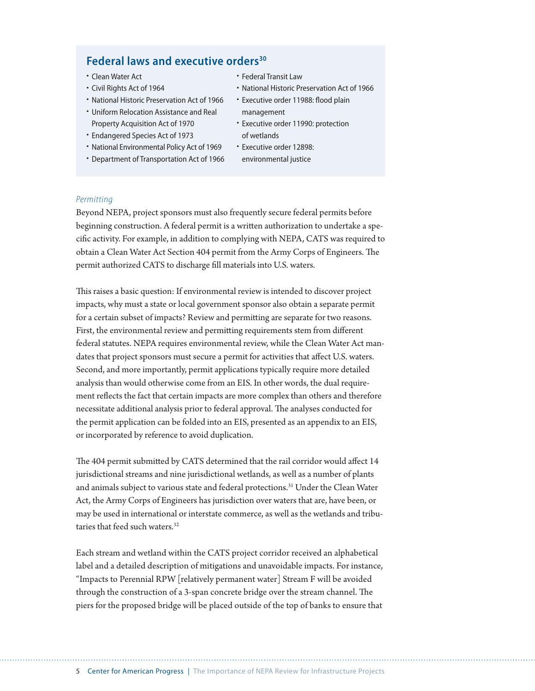## **Federal laws and executive orders[30](#page-14-0)**

- Clean Water Act
- Civil Rights Act of 1964
- National Historic Preservation Act of 1966
- Uniform Relocation Assistance and Real Property Acquisition Act of 1970
- Endangered Species Act of 1973
- National Environmental Policy Act of 1969
- Department of Transportation Act of 1966
- Federal Transit Law
- National Historic Preservation Act of 1966
- Executive order 11988: flood plain management
- Executive order 11990: protection of wetlands
- Executive order 12898: environmental justice

### *Permitting*

Beyond NEPA, project sponsors must also frequently secure federal permits before beginning construction. A federal permit is a writen authorization to undertake a specifc activity. For example, in addition to complying with NEPA, CATS was required to obtain a Clean Water Act Section 404 permit from the Army Corps of Engineers. The permit authorized CATS to discharge fll materials into U.S. waters.

This raises a basic question: If environmental review is intended to discover project impacts, why must a state or local government sponsor also obtain a separate permit for a certain subset of impacts? Review and permiting are separate for two reasons. First, the environmental review and permiting requirements stem from diferent federal statutes. NEPA requires environmental review, while the Clean Water Act mandates that project sponsors must secure a permit for activities that afect U.S. waters. Second, and more importantly, permit applications typically require more detailed analysis than would otherwise come from an EIS. In other words, the dual requirement refects the fact that certain impacts are more complex than others and therefore necessitate additional analysis prior to federal approval. The analyses conducted for the permit application can be folded into an EIS, presented as an appendix to an EIS, or incorporated by reference to avoid duplication.

The 404 permit submitted by CATS determined that the rail corridor would affect 14 jurisdictional streams and nine jurisdictional wetlands, as well as a number of plants and animals subject to various state and federal protections.[31](#page-15-0) Under the Clean Water Act, the Army Corps of Engineers has jurisdiction over waters that are, have been, or may be used in international or interstate commerce, as well as the wetlands and tribu-taries that feed such waters.<sup>[32](#page-15-0)</sup>

Each stream and wetland within the CATS project corridor received an alphabetical label and a detailed description of mitigations and unavoidable impacts. For instance, "Impacts to Perennial RPW [relatively permanent water] Stream F will be avoided through the construction of a 3-span concrete bridge over the stream channel. The piers for the proposed bridge will be placed outside of the top of banks to ensure that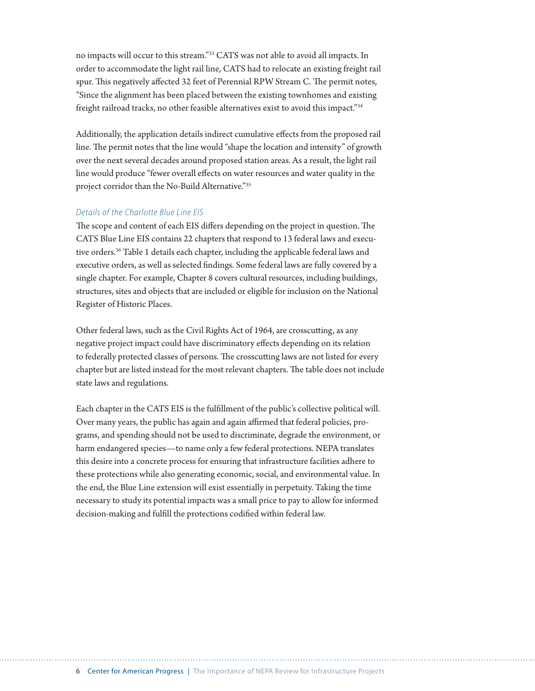no impacts will occur to this stream.["33](#page-15-0) CATS was not able to avoid all impacts. In order to accommodate the light rail line, CATS had to relocate an existing freight rail spur. This negatively affected 32 feet of Perennial RPW Stream C. The permit notes, "Since the alignment has been placed between the existing townhomes and existing freight railroad tracks, no other feasible alternatives exist to avoid this impact.["34](#page-15-0)

Additionally, the application details indirect cumulative efects from the proposed rail line. The permit notes that the line would "shape the location and intensity" of growth over the next several decades around proposed station areas. As a result, the light rail line would produce "fewer overall efects on water resources and water quality in the project corridor than the No-Build Alternative.["35](#page-15-0)

## *Details of the Charlotte Blue Line EIS*

The scope and content of each EIS differs depending on the project in question. The CATS Blue Line EIS contains 22 chapters that respond to 13 federal laws and executive orders.[36](#page-15-0) Table 1 details each chapter, including the applicable federal laws and executive orders, as well as selected fndings. Some federal laws are fully covered by a single chapter. For example, Chapter 8 covers cultural resources, including buildings, structures, sites and objects that are included or eligible for inclusion on the National Register of Historic Places.

Other federal laws, such as the Civil Rights Act of 1964, are crosscuting, as any negative project impact could have discriminatory efects depending on its relation to federally protected classes of persons. The crosscutting laws are not listed for every chapter but are listed instead for the most relevant chapters. The table does not include state laws and regulations.

Each chapter in the CATS EIS is the fulfllment of the public's collective political will. Over many years, the public has again and again affirmed that federal policies, programs, and spending should not be used to discriminate, degrade the environment, or harm endangered species—to name only a few federal protections. NEPA translates this desire into a concrete process for ensuring that infrastructure facilities adhere to these protections while also generating economic, social, and environmental value. In the end, the Blue Line extension will exist essentially in perpetuity. Taking the time necessary to study its potential impacts was a small price to pay to allow for informed decision-making and fulfll the protections codifed within federal law.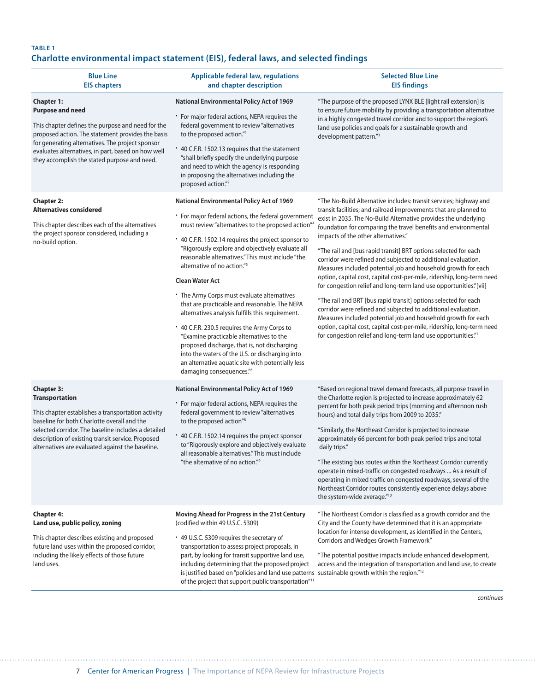## **TABLE 1 Charlotte environmental impact statement (EIS), federal laws, and selected findings**

| <b>Blue Line</b><br><b>EIS chapters</b>                                                                                                                                                                                                                                                                                                                                                                                                                                                                                                 | <b>Applicable federal law, regulations</b><br>and chapter description                                                                                                                                                                                                                                                                                                                                                                                                                                                                                                                                                                                                                                                                                                                                                                                                             | <b>Selected Blue Line</b><br><b>EIS findings</b>                                                                                                                                                                                                                                                                                                                                                                                                                                                                                                                                                                                                                                                                                                                                                                                                                                                                                                                                                                                                                                                                   |
|-----------------------------------------------------------------------------------------------------------------------------------------------------------------------------------------------------------------------------------------------------------------------------------------------------------------------------------------------------------------------------------------------------------------------------------------------------------------------------------------------------------------------------------------|-----------------------------------------------------------------------------------------------------------------------------------------------------------------------------------------------------------------------------------------------------------------------------------------------------------------------------------------------------------------------------------------------------------------------------------------------------------------------------------------------------------------------------------------------------------------------------------------------------------------------------------------------------------------------------------------------------------------------------------------------------------------------------------------------------------------------------------------------------------------------------------|--------------------------------------------------------------------------------------------------------------------------------------------------------------------------------------------------------------------------------------------------------------------------------------------------------------------------------------------------------------------------------------------------------------------------------------------------------------------------------------------------------------------------------------------------------------------------------------------------------------------------------------------------------------------------------------------------------------------------------------------------------------------------------------------------------------------------------------------------------------------------------------------------------------------------------------------------------------------------------------------------------------------------------------------------------------------------------------------------------------------|
| <b>Chapter 1:</b><br><b>Purpose and need</b><br>This chapter defines the purpose and need for the<br>proposed action. The statement provides the basis<br>for generating alternatives. The project sponsor<br>evaluates alternatives, in part, based on how well<br>they accomplish the stated purpose and need.                                                                                                                                                                                                                        | <b>National Environmental Policy Act of 1969</b><br>• For major federal actions, NEPA requires the<br>federal government to review "alternatives<br>to the proposed action."1<br>* 40 C.F.R. 1502.13 requires that the statement<br>"shall briefly specify the underlying purpose<br>and need to which the agency is responding<br>in proposing the alternatives including the<br>proposed action." <sup>2</sup>                                                                                                                                                                                                                                                                                                                                                                                                                                                                  | "The purpose of the proposed LYNX BLE [light rail extension] is<br>to ensure future mobility by providing a transportation alternative<br>in a highly congested travel corridor and to support the region's<br>land use policies and goals for a sustainable growth and<br>development pattern."3                                                                                                                                                                                                                                                                                                                                                                                                                                                                                                                                                                                                                                                                                                                                                                                                                  |
| <b>Chapter 2:</b><br><b>Alternatives considered</b><br>This chapter describes each of the alternatives<br>the project sponsor considered, including a<br>no-build option.                                                                                                                                                                                                                                                                                                                                                               | <b>National Environmental Policy Act of 1969</b><br>* For major federal actions, the federal government<br>must review "alternatives to the proposed action"4<br>* 40 C.F.R. 1502.14 requires the project sponsor to<br>"Rigorously explore and objectively evaluate all<br>reasonable alternatives." This must include "the<br>alternative of no action." <sup>5</sup><br><b>Clean Water Act</b><br>• The Army Corps must evaluate alternatives<br>that are practicable and reasonable. The NEPA<br>alternatives analysis fulfills this requirement.<br>* 40 C.F.R. 230.5 requires the Army Corps to<br>"Examine practicable alternatives to the<br>proposed discharge, that is, not discharging<br>into the waters of the U.S. or discharging into<br>an alternative aquatic site with potentially less<br>damaging consequences."6                                             | "The No-Build Alternative includes: transit services; highway and<br>transit facilities; and railroad improvements that are planned to<br>exist in 2035. The No-Build Alternative provides the underlying<br>foundation for comparing the travel benefits and environmental<br>impacts of the other alternatives."<br>"The rail and [bus rapid transit] BRT options selected for each<br>corridor were refined and subjected to additional evaluation.<br>Measures included potential job and household growth for each<br>option, capital cost, capital cost-per-mile, ridership, long-term need<br>for congestion relief and long-term land use opportunities."[vii]<br>"The rail and BRT [bus rapid transit] options selected for each<br>corridor were refined and subjected to additional evaluation.<br>Measures included potential job and household growth for each<br>option, capital cost, capital cost-per-mile, ridership, long-term need<br>for congestion relief and long-term land use opportunities."7                                                                                             |
| <b>Chapter 3:</b><br><b>Transportation</b><br>This chapter establishes a transportation activity<br>baseline for both Charlotte overall and the<br>selected corridor. The baseline includes a detailed<br>description of existing transit service. Proposed<br>alternatives are evaluated against the baseline.<br><b>Chapter 4:</b><br>Land use, public policy, zoning<br>This chapter describes existing and proposed<br>future land uses within the proposed corridor,<br>including the likely effects of those future<br>land uses. | <b>National Environmental Policy Act of 1969</b><br>* For major federal actions, NEPA requires the<br>federal government to review "alternatives<br>to the proposed action" <sup>8</sup><br>* 40 C.F.R. 1502.14 requires the project sponsor<br>to "Rigorously explore and objectively evaluate<br>all reasonable alternatives." This must include<br>"the alternative of no action." <sup>9</sup><br>Moving Ahead for Progress in the 21st Century<br>(codified within 49 U.S.C. 5309)<br>* 49 U.S.C. 5309 requires the secretary of<br>transportation to assess project proposals, in<br>part, by looking for transit supportive land use,<br>including determining that the proposed project<br>is justified based on "policies and land use patterns sustainable growth within the region." <sup>12</sup><br>of the project that support public transportation" <sup>11</sup> | "Based on regional travel demand forecasts, all purpose travel in<br>the Charlotte region is projected to increase approximately 62<br>percent for both peak period trips (morning and afternoon rush<br>hours) and total daily trips from 2009 to 2035."<br>"Similarly, the Northeast Corridor is projected to increase<br>approximately 66 percent for both peak period trips and total<br>daily trips."<br>"The existing bus routes within the Northeast Corridor currently<br>operate in mixed-traffic on congested roadways  As a result of<br>operating in mixed traffic on congested roadways, several of the<br>Northeast Corridor routes consistently experience delays above<br>the system-wide average."10<br>"The Northeast Corridor is classified as a growth corridor and the<br>City and the County have determined that it is an appropriate<br>location for intense development, as identified in the Centers,<br>Corridors and Wedges Growth Framework"<br>"The potential positive impacts include enhanced development,<br>access and the integration of transportation and land use, to create |

*continues*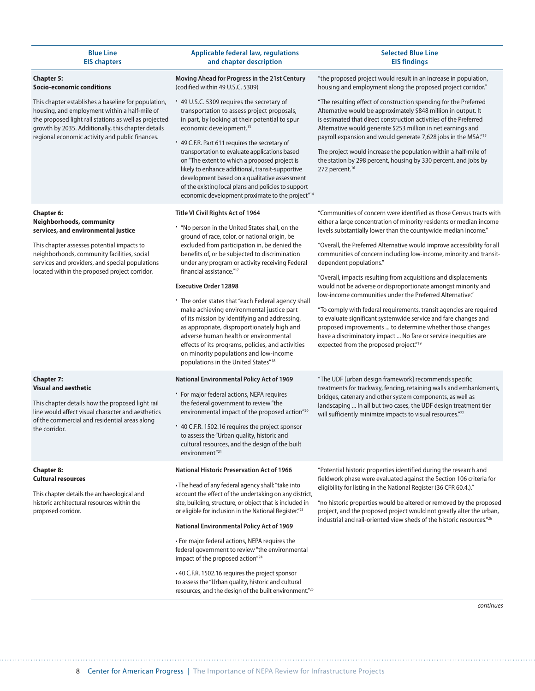| <b>Blue Line</b><br><b>EIS chapters</b>                                                                                                                                                                                                                                        | <b>Applicable federal law, regulations</b><br>and chapter description                                                                                                                                                                                                                                                                                                                                                                                                                                                                                                                                                                                                                                                                                             | <b>Selected Blue Line</b><br><b>EIS findings</b>                                                                                                                                                                                                                                                                                                                                                                                                                                                                                                                                                                                                                                                                                                                                                                                                                                                                         |
|--------------------------------------------------------------------------------------------------------------------------------------------------------------------------------------------------------------------------------------------------------------------------------|-------------------------------------------------------------------------------------------------------------------------------------------------------------------------------------------------------------------------------------------------------------------------------------------------------------------------------------------------------------------------------------------------------------------------------------------------------------------------------------------------------------------------------------------------------------------------------------------------------------------------------------------------------------------------------------------------------------------------------------------------------------------|--------------------------------------------------------------------------------------------------------------------------------------------------------------------------------------------------------------------------------------------------------------------------------------------------------------------------------------------------------------------------------------------------------------------------------------------------------------------------------------------------------------------------------------------------------------------------------------------------------------------------------------------------------------------------------------------------------------------------------------------------------------------------------------------------------------------------------------------------------------------------------------------------------------------------|
| <b>Chapter 5:</b><br>Socio-economic conditions                                                                                                                                                                                                                                 | Moving Ahead for Progress in the 21st Century<br>(codified within 49 U.S.C. 5309)                                                                                                                                                                                                                                                                                                                                                                                                                                                                                                                                                                                                                                                                                 | "the proposed project would result in an increase in population,<br>housing and employment along the proposed project corridor."                                                                                                                                                                                                                                                                                                                                                                                                                                                                                                                                                                                                                                                                                                                                                                                         |
| This chapter establishes a baseline for population,<br>housing, and employment within a half-mile of<br>the proposed light rail stations as well as projected<br>growth by 2035. Additionally, this chapter details<br>regional economic activity and public finances.         | * 49 U.S.C. 5309 requires the secretary of<br>transportation to assess project proposals,<br>in part, by looking at their potential to spur<br>economic development. <sup>13</sup><br>* 49 C.F.R. Part 611 requires the secretary of<br>transportation to evaluate applications based<br>on "The extent to which a proposed project is<br>likely to enhance additional, transit-supportive<br>development based on a qualitative assessment<br>of the existing local plans and policies to support<br>economic development proximate to the project" <sup>14</sup>                                                                                                                                                                                                | "The resulting effect of construction spending for the Preferred<br>Alternative would be approximately \$848 million in output. It<br>is estimated that direct construction activities of the Preferred<br>Alternative would generate \$253 million in net earnings and<br>payroll expansion and would generate 7,628 jobs in the MSA."15<br>The project would increase the population within a half-mile of<br>the station by 298 percent, housing by 330 percent, and jobs by<br>272 percent. <sup>16</sup>                                                                                                                                                                                                                                                                                                                                                                                                            |
| Chapter 6:<br>Neighborhoods, community<br>services, and environmental justice<br>This chapter assesses potential impacts to<br>neighborhoods, community facilities, social<br>services and providers, and special populations<br>located within the proposed project corridor. | Title VI Civil Rights Act of 1964<br>. "No person in the United States shall, on the<br>ground of race, color, or national origin, be<br>excluded from participation in, be denied the<br>benefits of, or be subjected to discrimination<br>under any program or activity receiving Federal<br>financial assistance." <sup>17</sup><br><b>Executive Order 12898</b><br>* The order states that "each Federal agency shall<br>make achieving environmental justice part<br>of its mission by identifying and addressing,<br>as appropriate, disproportionately high and<br>adverse human health or environmental<br>effects of its programs, policies, and activities<br>on minority populations and low-income<br>populations in the United States" <sup>18</sup> | "Communities of concern were identified as those Census tracts with<br>either a large concentration of minority residents or median income<br>levels substantially lower than the countywide median income."<br>"Overall, the Preferred Alternative would improve accessibility for all<br>communities of concern including low-income, minority and transit-<br>dependent populations."<br>"Overall, impacts resulting from acquisitions and displacements<br>would not be adverse or disproportionate amongst minority and<br>low-income communities under the Preferred Alternative."<br>"To comply with federal requirements, transit agencies are required<br>to evaluate significant systemwide service and fare changes and<br>proposed improvements  to determine whether those changes<br>have a discriminatory impact  No fare or service inequities are<br>expected from the proposed project." <sup>19</sup> |
| <b>Chapter 7:</b><br><b>Visual and aesthetic</b><br>This chapter details how the proposed light rail<br>line would affect visual character and aesthetics<br>of the commercial and residential areas along<br>the corridor.                                                    | <b>National Environmental Policy Act of 1969</b><br>* For major federal actions, NEPA requires<br>the federal government to review "the<br>environmental impact of the proposed action"20<br>* 40 C.F.R. 1502.16 requires the project sponsor<br>to assess the "Urban quality, historic and<br>cultural resources, and the design of the built<br>environment" <sup>21</sup>                                                                                                                                                                                                                                                                                                                                                                                      | "The UDF [urban design framework] recommends specific<br>treatments for trackway, fencing, retaining walls and embankments,<br>bridges, catenary and other system components, as well as<br>landscaping  In all but two cases, the UDF design treatment tier<br>will sufficiently minimize impacts to visual resources." <sup>22</sup>                                                                                                                                                                                                                                                                                                                                                                                                                                                                                                                                                                                   |
| <b>Chapter 8:</b><br><b>Cultural resources</b><br>This chapter details the archaeological and<br>historic architectural resources within the<br>proposed corridor.                                                                                                             | <b>National Historic Preservation Act of 1966</b><br>• The head of any federal agency shall: "take into<br>account the effect of the undertaking on any district,<br>site, building, structure, or object that is included in<br>or eligible for inclusion in the National Register."23<br>National Environmental Policy Act of 1969<br>• For major federal actions, NEPA requires the<br>federal government to review "the environmental<br>impact of the proposed action"24<br>• 40 C.F.R. 1502.16 requires the project sponsor<br>to assess the "Urban quality, historic and cultural<br>resources, and the design of the built environment."25                                                                                                                | "Potential historic properties identified during the research and<br>fieldwork phase were evaluated against the Section 106 criteria for<br>eligibility for listing in the National Register (36 CFR 60.4.)."<br>"no historic properties would be altered or removed by the proposed<br>project, and the proposed project would not greatly alter the urban,<br>industrial and rail-oriented view sheds of the historic resources." <sup>26</sup>                                                                                                                                                                                                                                                                                                                                                                                                                                                                        |

*continues*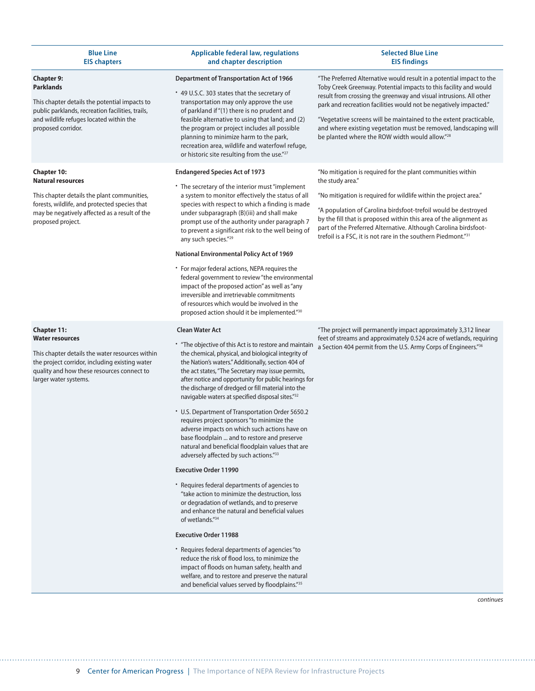| <b>Blue Line</b><br><b>EIS chapters</b>                                                                                                                                                                                  | <b>Applicable federal law, regulations</b><br>and chapter description                                                                                                                                                                                                                                                                                                                                                                                                                                                                                                                                                                                                                                                                                                                                                                                                                                                                                                                                                                                                                                                         | <b>Selected Blue Line</b><br><b>EIS findings</b>                                                                                                                                                                                                                                                                                                                                                                                                                               |
|--------------------------------------------------------------------------------------------------------------------------------------------------------------------------------------------------------------------------|-------------------------------------------------------------------------------------------------------------------------------------------------------------------------------------------------------------------------------------------------------------------------------------------------------------------------------------------------------------------------------------------------------------------------------------------------------------------------------------------------------------------------------------------------------------------------------------------------------------------------------------------------------------------------------------------------------------------------------------------------------------------------------------------------------------------------------------------------------------------------------------------------------------------------------------------------------------------------------------------------------------------------------------------------------------------------------------------------------------------------------|--------------------------------------------------------------------------------------------------------------------------------------------------------------------------------------------------------------------------------------------------------------------------------------------------------------------------------------------------------------------------------------------------------------------------------------------------------------------------------|
| <b>Chapter 9:</b><br><b>Parklands</b><br>This chapter details the potential impacts to<br>public parklands, recreation facilities, trails,<br>and wildlife refuges located within the<br>proposed corridor.              | <b>Department of Transportation Act of 1966</b><br>* 49 U.S.C. 303 states that the secretary of<br>transportation may only approve the use<br>of parkland if "(1) there is no prudent and<br>feasible alternative to using that land; and (2)<br>the program or project includes all possible<br>planning to minimize harm to the park,<br>recreation area, wildlife and waterfowl refuge,<br>or historic site resulting from the use."27                                                                                                                                                                                                                                                                                                                                                                                                                                                                                                                                                                                                                                                                                     | "The Preferred Alternative would result in a potential impact to the<br>Toby Creek Greenway. Potential impacts to this facility and would<br>result from crossing the greenway and visual intrusions. All other<br>park and recreation facilities would not be negatively impacted."<br>"Vegetative screens will be maintained to the extent practicable,<br>and where existing vegetation must be removed, landscaping will<br>be planted where the ROW width would allow."28 |
| <b>Chapter 10:</b><br><b>Natural resources</b><br>This chapter details the plant communities,<br>forests, wildlife, and protected species that<br>may be negatively affected as a result of the<br>proposed project.     | <b>Endangered Species Act of 1973</b><br>* The secretary of the interior must "implement"<br>a system to monitor effectively the status of all<br>species with respect to which a finding is made<br>under subparagraph (B)(iii) and shall make<br>prompt use of the authority under paragraph 7<br>to prevent a significant risk to the well being of<br>any such species." <sup>29</sup><br><b>National Environmental Policy Act of 1969</b><br>• For major federal actions, NEPA requires the<br>federal government to review "the environmental<br>impact of the proposed action" as well as "any<br>irreversible and irretrievable commitments<br>of resources which would be involved in the<br>proposed action should it be implemented."30                                                                                                                                                                                                                                                                                                                                                                            | "No mitigation is required for the plant communities within<br>the study area."<br>"No mitigation is required for wildlife within the project area."<br>"A population of Carolina birdsfoot-trefoil would be destroyed<br>by the fill that is proposed within this area of the alignment as<br>part of the Preferred Alternative. Although Carolina birdsfoot-<br>trefoil is a FSC, it is not rare in the southern Piedmont."31                                                |
| <b>Chapter 11:</b><br><b>Water resources</b><br>This chapter details the water resources within<br>the project corridor, including existing water<br>quality and how these resources connect to<br>larger water systems. | <b>Clean Water Act</b><br>* "The objective of this Act is to restore and maintain<br>the chemical, physical, and biological integrity of<br>the Nation's waters." Additionally, section 404 of<br>the act states, "The Secretary may issue permits,<br>after notice and opportunity for public hearings for<br>the discharge of dredged or fill material into the<br>navigable waters at specified disposal sites." <sup>32</sup><br>• U.S. Department of Transportation Order 5650.2<br>requires project sponsors "to minimize the<br>adverse impacts on which such actions have on<br>base floodplain  and to restore and preserve<br>natural and beneficial floodplain values that are<br>adversely affected by such actions."33<br><b>Executive Order 11990</b><br>• Requires federal departments of agencies to<br>"take action to minimize the destruction, loss<br>or degradation of wetlands, and to preserve<br>and enhance the natural and beneficial values<br>of wetlands."34<br><b>Executive Order 11988</b><br>* Requires federal departments of agencies "to<br>reduce the risk of flood loss, to minimize the | "The project will permanently impact approximately 3,312 linear<br>feet of streams and approximately 0.524 acre of wetlands, requiring<br>a Section 404 permit from the U.S. Army Corps of Engineers."36                                                                                                                                                                                                                                                                       |
|                                                                                                                                                                                                                          | impact of floods on human safety, health and<br>welfare, and to restore and preserve the natural<br>and beneficial values served by floodplains."35                                                                                                                                                                                                                                                                                                                                                                                                                                                                                                                                                                                                                                                                                                                                                                                                                                                                                                                                                                           |                                                                                                                                                                                                                                                                                                                                                                                                                                                                                |

*continues*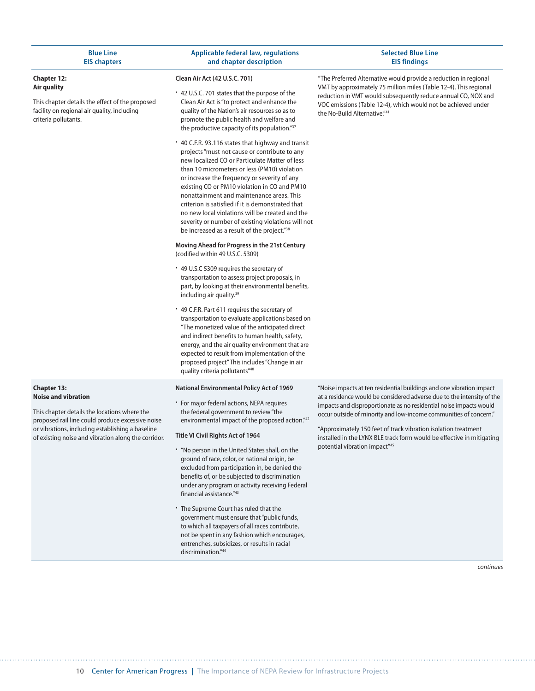| <b>Blue Line</b>    |  |
|---------------------|--|
| <b>EIS chapters</b> |  |

#### **Chapter 12: Air quality**

This chapter details the effect of the proposed facility on regional air quality, including criteria pollutants.

#### **Applicable federal law, regulations and chapter description**

#### **Selected Blue Line EIS findings**

#### **Clean Air Act (42 U.S.C. 701)**

- 42 U.S.C. 701 states that the purpose of the Clean Air Act is "to protect and enhance the quality of the Nation's air resources so as to promote the public health and welfare and the productive capacity of its population."37
- 40 C.F.R. 93.116 states that highway and transit projects "must not cause or contribute to any new localized CO or Particulate Matter of less than 10 micrometers or less (PM10) violation or increase the frequency or severity of any existing CO or PM10 violation in CO and PM10 nonattainment and maintenance areas. This criterion is satisfied if it is demonstrated that no new local violations will be created and the severity or number of existing violations will not be increased as a result of the project."38

**Moving Ahead for Progress in the 21st Century**  (codified within 49 U.S.C. 5309)

- 49 U.S.C 5309 requires the secretary of transportation to assess project proposals, in part, by looking at their environmental benefits, including air quality.39
- 49 C.F.R. Part 611 requires the secretary of transportation to evaluate applications based on "The monetized value of the anticipated direct and indirect benefits to human health, safety, energy, and the air quality environment that are expected to result from implementation of the proposed project" This includes "Change in air quality criteria pollutants"40

#### **National Environmental Policy Act of 1969**

• For major federal actions, NEPA requires the federal government to review "the environmental impact of the proposed action."42

#### **Title VI Civil Rights Act of 1964**

- "No person in the United States shall, on the ground of race, color, or national origin, be excluded from participation in, be denied the benefits of, or be subjected to discrimination under any program or activity receiving Federal financial assistance."43
- The Supreme Court has ruled that the government must ensure that "public funds, to which all taxpayers of all races contribute, not be spent in any fashion which encourages, entrenches, subsidizes, or results in racial discrimination."44

"The Preferred Alternative would provide a reduction in regional VMT by approximately 75 million miles (Table 12-4). This regional reduction in VMT would subsequently reduce annual CO, NOX and VOC emissions (Table 12-4), which would not be achieved under the No-Build Alternative."41

"Noise impacts at ten residential buildings and one vibration impact at a residence would be considered adverse due to the intensity of the impacts and disproportionate as no residential noise impacts would occur outside of minority and low-income communities of concern."

"Approximately 150 feet of track vibration isolation treatment installed in the LYNX BLE track form would be effective in mitigating potential vibration impact"45

*continues*

#### **Chapter 13: Noise and vibration**

This chapter details the locations where the proposed rail line could produce excessive noise or vibrations, including establishing a baseline of existing noise and vibration along the corridor.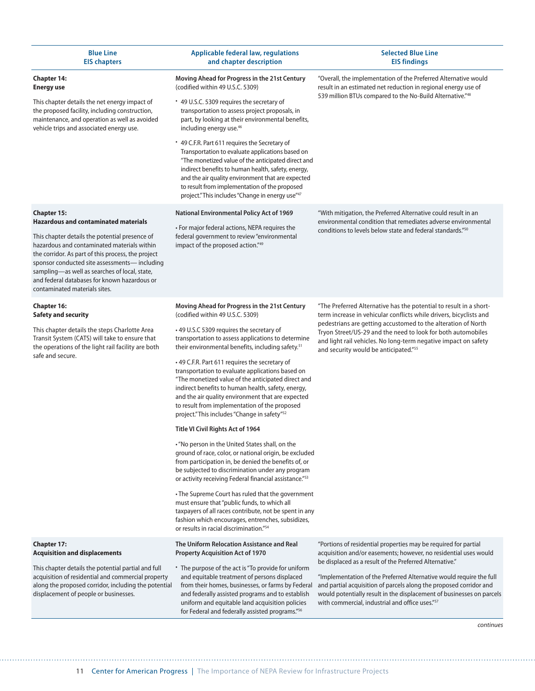| <b>Blue Line</b><br><b>EIS chapters</b>                                                                                                                                                                                                                                                                                                                                                                    | <b>Applicable federal law, regulations</b><br>and chapter description                                                                                                                                                                                                                                                                                                                                                                                                                                                                                                                                                                                                        | <b>Selected Blue Line</b><br><b>EIS findings</b>                                                                                                                                                                                                                                                                                                                                                                                                                                     |
|------------------------------------------------------------------------------------------------------------------------------------------------------------------------------------------------------------------------------------------------------------------------------------------------------------------------------------------------------------------------------------------------------------|------------------------------------------------------------------------------------------------------------------------------------------------------------------------------------------------------------------------------------------------------------------------------------------------------------------------------------------------------------------------------------------------------------------------------------------------------------------------------------------------------------------------------------------------------------------------------------------------------------------------------------------------------------------------------|--------------------------------------------------------------------------------------------------------------------------------------------------------------------------------------------------------------------------------------------------------------------------------------------------------------------------------------------------------------------------------------------------------------------------------------------------------------------------------------|
| <b>Chapter 14:</b><br><b>Energy use</b><br>This chapter details the net energy impact of<br>the proposed facility, including construction,<br>maintenance, and operation as well as avoided<br>vehicle trips and associated energy use.                                                                                                                                                                    | Moving Ahead for Progress in the 21st Century<br>(codified within 49 U.S.C. 5309)<br>* 49 U.S.C. 5309 requires the secretary of<br>transportation to assess project proposals, in<br>part, by looking at their environmental benefits,<br>including energy use. <sup>46</sup><br>* 49 C.F.R. Part 611 requires the Secretary of<br>Transportation to evaluate applications based on<br>"The monetized value of the anticipated direct and<br>indirect benefits to human health, safety, energy,<br>and the air quality environment that are expected<br>to result from implementation of the proposed<br>project." This includes "Change in energy use"47                    | "Overall, the implementation of the Preferred Alternative would<br>result in an estimated net reduction in regional energy use of<br>539 million BTUs compared to the No-Build Alternative."48                                                                                                                                                                                                                                                                                       |
| <b>Chapter 15:</b><br><b>Hazardous and contaminated materials</b><br>This chapter details the potential presence of<br>hazardous and contaminated materials within<br>the corridor. As part of this process, the project<br>sponsor conducted site assessments-including<br>sampling-as well as searches of local, state,<br>and federal databases for known hazardous or<br>contaminated materials sites. | <b>National Environmental Policy Act of 1969</b><br>• For major federal actions, NEPA requires the<br>federal government to review "environmental<br>impact of the proposed action."49                                                                                                                                                                                                                                                                                                                                                                                                                                                                                       | "With mitigation, the Preferred Alternative could result in an<br>environmental condition that remediates adverse environmental<br>conditions to levels below state and federal standards." <sup>50</sup>                                                                                                                                                                                                                                                                            |
| <b>Chapter 16:</b><br><b>Safety and security</b><br>This chapter details the steps Charlotte Area<br>Transit System (CATS) will take to ensure that<br>the operations of the light rail facility are both<br>safe and secure.                                                                                                                                                                              | Moving Ahead for Progress in the 21st Century<br>(codified within 49 U.S.C. 5309)<br>•49 U.S.C 5309 requires the secretary of<br>transportation to assess applications to determine<br>their environmental benefits, including safety. <sup>51</sup><br>•49 C.F.R. Part 611 requires the secretary of<br>transportation to evaluate applications based on<br>"The monetized value of the anticipated direct and<br>indirect benefits to human health, safety, energy,<br>and the air quality environment that are expected<br>to result from implementation of the proposed<br>project." This includes "Change in safety" <sup>52</sup><br>Title VI Civil Rights Act of 1964 | "The Preferred Alternative has the potential to result in a short-<br>term increase in vehicular conflicts while drivers, bicyclists and<br>pedestrians are getting accustomed to the alteration of North<br>Tryon Street/US-29 and the need to look for both automobiles<br>and light rail vehicles. No long-term negative impact on safety<br>and security would be anticipated."55                                                                                                |
|                                                                                                                                                                                                                                                                                                                                                                                                            | . "No person in the United States shall, on the<br>ground of race, color, or national origin, be excluded<br>from participation in, be denied the benefits of, or<br>be subjected to discrimination under any program<br>or activity receiving Federal financial assistance."53<br>• The Supreme Court has ruled that the government<br>must ensure that "public funds, to which all<br>taxpayers of all races contribute, not be spent in any<br>fashion which encourages, entrenches, subsidizes,<br>or results in racial discrimination."54                                                                                                                               |                                                                                                                                                                                                                                                                                                                                                                                                                                                                                      |
| <b>Chapter 17:</b><br><b>Acquisition and displacements</b><br>This chapter details the potential partial and full<br>acquisition of residential and commercial property<br>along the proposed corridor, including the potential<br>displacement of people or businesses.                                                                                                                                   | The Uniform Relocation Assistance and Real<br><b>Property Acquisition Act of 1970</b><br>• The purpose of the act is "To provide for uniform<br>and equitable treatment of persons displaced<br>from their homes, businesses, or farms by Federal<br>and federally assisted programs and to establish<br>uniform and equitable land acquisition policies<br>for Federal and federally assisted programs." <sup>56</sup>                                                                                                                                                                                                                                                      | "Portions of residential properties may be required for partial<br>acquisition and/or easements; however, no residential uses would<br>be displaced as a result of the Preferred Alternative."<br>"Implementation of the Preferred Alternative would require the full<br>and partial acquisition of parcels along the proposed corridor and<br>would potentially result in the displacement of businesses on parcels<br>with commercial, industrial and office uses."57<br>continues |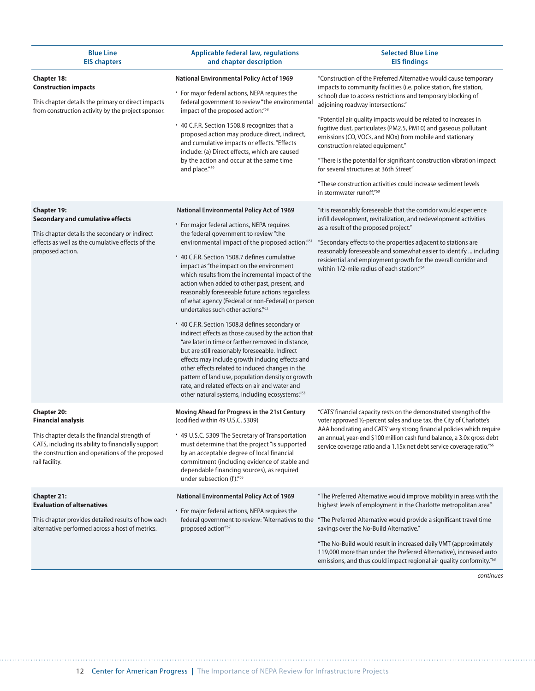| <b>Blue Line</b><br><b>EIS chapters</b>                                                                                                                                                                                      | <b>Applicable federal law, regulations</b><br>and chapter description                                                                                                                                                                                                                                                                                                                                                                                                                                                                                                                                                                                                                                                                                                                                                                                                                                                                                                                                                                                | <b>Selected Blue Line</b><br><b>EIS findings</b>                                                                                                                                                                                                                                                                                                                                                                                                                                                                                                                                                                                                                                                   |
|------------------------------------------------------------------------------------------------------------------------------------------------------------------------------------------------------------------------------|------------------------------------------------------------------------------------------------------------------------------------------------------------------------------------------------------------------------------------------------------------------------------------------------------------------------------------------------------------------------------------------------------------------------------------------------------------------------------------------------------------------------------------------------------------------------------------------------------------------------------------------------------------------------------------------------------------------------------------------------------------------------------------------------------------------------------------------------------------------------------------------------------------------------------------------------------------------------------------------------------------------------------------------------------|----------------------------------------------------------------------------------------------------------------------------------------------------------------------------------------------------------------------------------------------------------------------------------------------------------------------------------------------------------------------------------------------------------------------------------------------------------------------------------------------------------------------------------------------------------------------------------------------------------------------------------------------------------------------------------------------------|
| <b>Chapter 18:</b><br><b>Construction impacts</b><br>This chapter details the primary or direct impacts<br>from construction activity by the project sponsor.                                                                | National Environmental Policy Act of 1969<br>* For major federal actions, NEPA requires the<br>federal government to review "the environmental<br>impact of the proposed action." <sup>58</sup><br>* 40 C.F.R. Section 1508.8 recognizes that a<br>proposed action may produce direct, indirect,<br>and cumulative impacts or effects. "Effects<br>include: (a) Direct effects, which are caused<br>by the action and occur at the same time<br>and place."59                                                                                                                                                                                                                                                                                                                                                                                                                                                                                                                                                                                        | "Construction of the Preferred Alternative would cause temporary<br>impacts to community facilities (i.e. police station, fire station,<br>school) due to access restrictions and temporary blocking of<br>adjoining roadway intersections."<br>"Potential air quality impacts would be related to increases in<br>fugitive dust, particulates (PM2.5, PM10) and gaseous pollutant<br>emissions (CO, VOCs, and NOx) from mobile and stationary<br>construction related equipment."<br>"There is the potential for significant construction vibration impact<br>for several structures at 36th Street"<br>"These construction activities could increase sediment levels<br>in stormwater runoff."60 |
| <b>Chapter 19:</b><br><b>Secondary and cumulative effects</b><br>This chapter details the secondary or indirect<br>effects as well as the cumulative effects of the<br>proposed action.                                      | <b>National Environmental Policy Act of 1969</b><br>* For major federal actions, NEPA requires<br>the federal government to review "the<br>environmental impact of the proposed action."61<br>* 40 C.F.R. Section 1508.7 defines cumulative<br>impact as "the impact on the environment<br>which results from the incremental impact of the<br>action when added to other past, present, and<br>reasonably foreseeable future actions regardless<br>of what agency (Federal or non-Federal) or person<br>undertakes such other actions." <sup>62</sup><br>* 40 C.F.R. Section 1508.8 defines secondary or<br>indirect effects as those caused by the action that<br>"are later in time or farther removed in distance,<br>but are still reasonably foreseeable. Indirect<br>effects may include growth inducing effects and<br>other effects related to induced changes in the<br>pattern of land use, population density or growth<br>rate, and related effects on air and water and<br>other natural systems, including ecosystems." <sup>63</sup> | "it is reasonably foreseeable that the corridor would experience<br>infill development, revitalization, and redevelopment activities<br>as a result of the proposed project."<br>"Secondary effects to the properties adjacent to stations are<br>reasonably foreseeable and somewhat easier to identify  including<br>residential and employment growth for the overall corridor and<br>within 1/2-mile radius of each station." <sup>64</sup>                                                                                                                                                                                                                                                    |
| <b>Chapter 20:</b><br><b>Financial analysis</b><br>This chapter details the financial strength of<br>CATS, including its ability to financially support<br>the construction and operations of the proposed<br>rail facility. | Moving Ahead for Progress in the 21st Century<br>(codified within 49 U.S.C. 5309)<br>* 49 U.S.C. 5309 The Secretary of Transportation<br>must determine that the project "is supported<br>by an acceptable degree of local financial<br>commitment (including evidence of stable and<br>dependable financing sources), as required<br>under subsection (f)."65                                                                                                                                                                                                                                                                                                                                                                                                                                                                                                                                                                                                                                                                                       | "CATS' financial capacity rests on the demonstrated strength of the<br>voter approved 1/2-percent sales and use tax, the City of Charlotte's<br>AAA bond rating and CATS' very strong financial policies which require<br>an annual, year-end \$100 million cash fund balance, a 3.0x gross debt<br>service coverage ratio and a 1.15x net debt service coverage ratio."66                                                                                                                                                                                                                                                                                                                         |
| <b>Chapter 21:</b><br><b>Evaluation of alternatives</b><br>This chapter provides detailed results of how each<br>alternative performed across a host of metrics.                                                             | <b>National Environmental Policy Act of 1969</b><br>* For major federal actions, NEPA requires the<br>federal government to review: "Alternatives to the<br>proposed action"67                                                                                                                                                                                                                                                                                                                                                                                                                                                                                                                                                                                                                                                                                                                                                                                                                                                                       | "The Preferred Alternative would improve mobility in areas with the<br>highest levels of employment in the Charlotte metropolitan area"<br>"The Preferred Alternative would provide a significant travel time<br>savings over the No-Build Alternative."<br>"The No-Build would result in increased daily VMT (approximately<br>119,000 more than under the Preferred Alternative), increased auto<br>emissions, and thus could impact regional air quality conformity." <sup>68</sup>                                                                                                                                                                                                             |

*continues*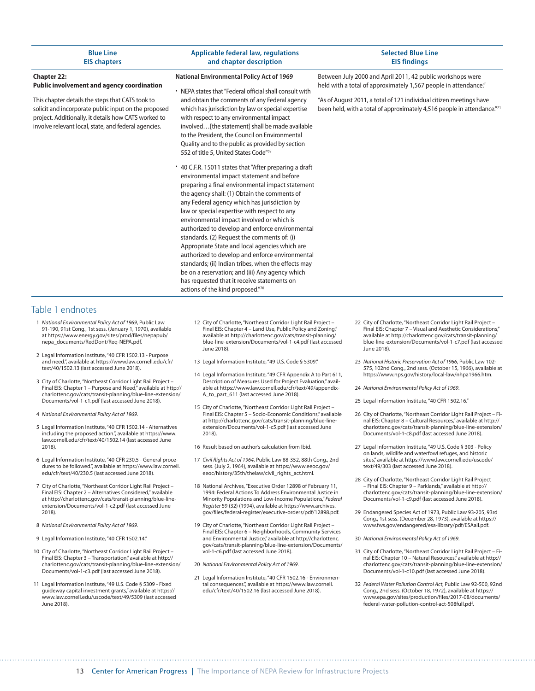| <b>Blue Line</b><br><b>EIS chapters</b>                                                                                                                                                                                                                                                                | <b>Applicable federal law, regulations</b><br>and chapter description                                                                                                                                                                                                                                                                                                                                                                                                                                                                                                                                                                                                                                                                                                                                                                                                                                                                                                                                                                                                                                                                                                                                                         | <b>Selected Blue Line</b><br><b>EIS findings</b>                                                                                                                                                                                                                                |
|--------------------------------------------------------------------------------------------------------------------------------------------------------------------------------------------------------------------------------------------------------------------------------------------------------|-------------------------------------------------------------------------------------------------------------------------------------------------------------------------------------------------------------------------------------------------------------------------------------------------------------------------------------------------------------------------------------------------------------------------------------------------------------------------------------------------------------------------------------------------------------------------------------------------------------------------------------------------------------------------------------------------------------------------------------------------------------------------------------------------------------------------------------------------------------------------------------------------------------------------------------------------------------------------------------------------------------------------------------------------------------------------------------------------------------------------------------------------------------------------------------------------------------------------------|---------------------------------------------------------------------------------------------------------------------------------------------------------------------------------------------------------------------------------------------------------------------------------|
| <b>Chapter 22:</b><br><b>Public involvement and agency coordination</b><br>This chapter details the steps that CATS took to<br>solicit and incorporate public input on the proposed<br>project. Additionally, it details how CATS worked to<br>involve relevant local, state, and federal agencies.    | <b>National Environmental Policy Act of 1969</b><br>• NEPA states that "Federal official shall consult with<br>and obtain the comments of any Federal agency<br>which has jurisdiction by law or special expertise<br>with respect to any environmental impact<br>involved [the statement] shall be made available<br>to the President, the Council on Environmental<br>Quality and to the public as provided by section<br>552 of title 5, United States Code"69<br>* 40 C.F.R. 15011 states that "After preparing a draft<br>environmental impact statement and before<br>preparing a final environmental impact statement<br>the agency shall: (1) Obtain the comments of<br>any Federal agency which has jurisdiction by<br>law or special expertise with respect to any<br>environmental impact involved or which is<br>authorized to develop and enforce environmental<br>standards. (2) Request the comments of: (i)<br>Appropriate State and local agencies which are<br>authorized to develop and enforce environmental<br>standards; (ii) Indian tribes, when the effects may<br>be on a reservation; and (iii) Any agency which<br>has requested that it receive statements on<br>actions of the kind proposed."70 | Between July 2000 and April 2011, 42 public workshops were<br>held with a total of approximately 1,567 people in attendance."<br>"As of August 2011, a total of 121 individual citizen meetings have<br>been held, with a total of approximately 4,516 people in attendance."71 |
| Table 1 endnotes<br>1 National Environmental Policy Act of 1969, Public Law<br>91-190, 91st Cong., 1st sess. (January 1, 1970), available<br>at https://www.energy.gov/sites/prod/files/nepapub/<br>nepa_documents/RedDont/Req-NEPA.pdf.                                                               | 12 City of Charlotte, "Northeast Corridor Light Rail Project -<br>Final EIS: Chapter 4 - Land Use, Public Policy and Zoning,"<br>available at http://charlottenc.gov/cats/transit-planning/<br>blue-line-extension/Documents/vol-1-c4.pdf (last accessed<br>June 2018).                                                                                                                                                                                                                                                                                                                                                                                                                                                                                                                                                                                                                                                                                                                                                                                                                                                                                                                                                       | 22 City of Charlotte, "Northeast Corridor Light Rail Project -<br>Final EIS: Chapter 7 - Visual and Aesthetic Considerations,"<br>available at http://charlottenc.gov/cats/transit-planning/<br>blue-line-extension/Documents/vol-1-c7.pdf (last accessed<br>June 2018).        |
| 2 Legal Information Institute, "40 CFR 1502.13 - Purpose<br>and need.", available at https://www.law.cornell.edu/cfr/<br>text/40/1502.13 (last accessed June 2018).<br>3 City of Charlotte, "Northeast Corridor Light Rail Project -<br>Final EIS: Chapter 1 - Purpose and Need," available at http:// | 13 Legal Information Institute, "49 U.S. Code § 5309."<br>14 Legal Information Institute, "49 CFR Appendix A to Part 611,<br>Description of Measures Used for Project Evaluation," avail-<br>able at https://www.law.cornell.edu/cfr/text/49/appendix-                                                                                                                                                                                                                                                                                                                                                                                                                                                                                                                                                                                                                                                                                                                                                                                                                                                                                                                                                                        | 23 National Historic Preservation Act of 1966, Public Law 102-<br>575, 102nd Cong., 2nd sess. (October 15, 1966), available at<br>https://www.nps.gov/history/local-law/nhpa1966.htm.<br>24 National Environmental Policy Act of 1969.                                          |
| charlottenc.gov/cats/transit-planning/blue-line-extension/<br>Documents/vol-1-c1.pdf (last accessed June 2018).                                                                                                                                                                                        | A_to_part_611 (last accessed June 2018).<br>$\mathcal{L}$ and $\mathcal{L}$ and $\mathcal{L}$ and $\mathcal{L}$ and $\mathcal{L}$ and $\mathcal{L}$ and $\mathcal{L}$ and $\mathcal{L}$ and $\mathcal{L}$ and $\mathcal{L}$ and $\mathcal{L}$ and $\mathcal{L}$ and $\mathcal{L}$ and $\mathcal{L}$ and $\mathcal{L}$ and $\mathcal{L}$ and $\mathcal{L}$ and                                                                                                                                                                                                                                                                                                                                                                                                                                                                                                                                                                                                                                                                                                                                                                                                                                                                 | 25 Legal Information Institute, "40 CFR 1502.16."                                                                                                                                                                                                                               |

- 4 *National Environmental Policy Act of 1969*.
- 5 Legal Information Institute, "40 CFR 1502.14 Alternatives including the proposed action.", available at [https://www.](https://www.law.cornell.edu/cfr/text/40/1502.14) [law.cornell.edu/cfr/text/40/1502.14](https://www.law.cornell.edu/cfr/text/40/1502.14) (last accessed June 2018).
- 6 Legal Information Institute, "40 CFR 230.5 General procedures to be followed.", available at [https://www.law.cornell.](https://www.law.cornell.edu/cfr/text/40/230.5) [edu/cfr/text/40/230.5](https://www.law.cornell.edu/cfr/text/40/230.5) (last accessed June 2018).
- 7 City of Charlotte, "Northeast Corridor Light Rail Project Final EIS: Chapter 2 – Alternatives Considered," available at [http://charlottenc.gov/cats/transit-planning/blue-line](http://charlottenc.gov/cats/transit-planning/blue-line-extension/Documents/vol-1-c2.pdf)[extension/Documents/vol-1-c2.pdf](http://charlottenc.gov/cats/transit-planning/blue-line-extension/Documents/vol-1-c2.pdf) (last accessed June 2018).
- 8 *National Environmental Policy Act of 1969*.
- 9 Legal Information Institute, "40 CFR 1502.14."
- 10 City of Charlotte, "Northeast Corridor Light Rail Project Final EIS: Chapter 3 – Transportation," available at [http://](http://charlottenc.gov/cats/transit-planning/blue-line-extension/Documents/vol-1-c3.pdf) [charlottenc.gov/cats/transit-planning/blue-line-extension/](http://charlottenc.gov/cats/transit-planning/blue-line-extension/Documents/vol-1-c3.pdf) [Documents/vol-1-c3.pdf](http://charlottenc.gov/cats/transit-planning/blue-line-extension/Documents/vol-1-c3.pdf) (last accessed June 2018).
- 11 Legal Information Institute, "49 U.S. Code § 5309 Fixed guideway capital investment grants," available at [https://](https://www.law.cornell.edu/uscode/text/49/5309) [www.law.cornell.edu/uscode/text/49/5309](https://www.law.cornell.edu/uscode/text/49/5309) (last accessed June 2018).
- 15 City of Charlotte, "Northeast Corridor Light Rail Project Final EIS: Chapter 5 – Socio-Economic Conditions," available at [http://charlottenc.gov/cats/transit-planning/blue-line](http://charlottenc.gov/cats/transit-planning/blue-line-extension/Documents/vol-1-c5.pdf)[extension/Documents/vol-1-c5.pdf](http://charlottenc.gov/cats/transit-planning/blue-line-extension/Documents/vol-1-c5.pdf) (last accessed June 2018).
- 16 Result based on author's calculation from Ibid.
- 17 *Civil Rights Act of 1964*, Public Law 88-352, 88th Cong., 2nd sess. (July 2, 1964), available at [https://www.eeoc.gov/](https://www.eeoc.gov/eeoc/history/35th/thelaw/civil_rights_act.html) [eeoc/history/35th/thelaw/civil\\_rights\\_act.html](https://www.eeoc.gov/eeoc/history/35th/thelaw/civil_rights_act.html).
- 18 National Archives, "Executive Order 12898 of February 11, 1994: Federal Actions To Address Environmental Justice in Minority Populations and Low-Income Populations," *Federal Register* 59 (32) (1994), available at [https://www.archives.](https://www.archives.gov/files/federal-register/executive-orders/pdf/12898.pdf) [gov/files/federal-register/executive-orders/pdf/12898.pdf](https://www.archives.gov/files/federal-register/executive-orders/pdf/12898.pdf).
- 19 City of Charlotte, "Northeast Corridor Light Rail Project Final EIS: Chapter 6 – Neighborhoods, Community Services and Environmental Justice," available at [http://charlottenc.](http://charlottenc.gov/cats/transit-planning/blue-line-extension/Documents/vol-1-c6.pdf) [gov/cats/transit-planning/blue-line-extension/Documents/](http://charlottenc.gov/cats/transit-planning/blue-line-extension/Documents/vol-1-c6.pdf) [vol-1-c6.pdf](http://charlottenc.gov/cats/transit-planning/blue-line-extension/Documents/vol-1-c6.pdf) (last accessed June 2018).
- 20 *National Environmental Policy Act of 1969*.
- 21 Legal Information Institute, "40 CFR 1502.16 Environmental consequences.", available at [https://www.law.cornell.](https://www.law.cornell.edu/cfr/text/40/1502.16) [edu/cfr/text/40/1502.16](https://www.law.cornell.edu/cfr/text/40/1502.16) (last accessed June 2018).

- 26 City of Charlotte, "Northeast Corridor Light Rail Project Final EIS: Chapter 8 – Cultural Resources," available at [http://](http://charlottenc.gov/cats/transit-planning/blue-line-extension/Documents/vol-1-c8.pdf) [charlottenc.gov/cats/transit-planning/blue-line-extension/](http://charlottenc.gov/cats/transit-planning/blue-line-extension/Documents/vol-1-c8.pdf) [Documents/vol-1-c8.pdf](http://charlottenc.gov/cats/transit-planning/blue-line-extension/Documents/vol-1-c8.pdf) (last accessed June 2018).
- 27 Legal Information Institute, "49 U.S. Code § 303 Policy on lands, wildlife and waterfowl refuges, and historic sites," available at [https://www.law.cornell.edu/uscode/](https://www.law.cornell.edu/uscode/text/49/303) [text/49/303](https://www.law.cornell.edu/uscode/text/49/303) (last accessed June 2018).
- 28 City of Charlotte, "Northeast Corridor Light Rail Project – Final EIS: Chapter 9 – Parklands," available at [http://](http://charlottenc.gov/cats/transit-planning/blue-line-extension/Documents/vol-1-c9.pdf) [charlottenc.gov/cats/transit-planning/blue-line-extension/](http://charlottenc.gov/cats/transit-planning/blue-line-extension/Documents/vol-1-c9.pdf) [Documents/vol-1-c9.pdf](http://charlottenc.gov/cats/transit-planning/blue-line-extension/Documents/vol-1-c9.pdf) (last accessed June 2018).
- 29 Endangered Species Act of 1973, Public Law 93-205, 93rd Cong., 1st sess. (December 28, 1973), available at [https://](https://www.fws.gov/endangered/esa-library/pdf/ESAall.pdf) [www.fws.gov/endangered/esa-library/pdf/ESAall.pdf.](https://www.fws.gov/endangered/esa-library/pdf/ESAall.pdf)
- 30 *National Environmental Policy Act of 1969*.
- 31 City of Charlotte, "Northeast Corridor Light Rail Project Final EIS: Chapter 10 – Natural Resources," available at [http://](http://charlottenc.gov/cats/transit-planning/blue-line-extension/Documents/vol-1-c10.pdf) [charlottenc.gov/cats/transit-planning/blue-line-extension/](http://charlottenc.gov/cats/transit-planning/blue-line-extension/Documents/vol-1-c10.pdf) [Documents/vol-1-c10.pdf](http://charlottenc.gov/cats/transit-planning/blue-line-extension/Documents/vol-1-c10.pdf) (last accessed June 2018).
- 32 *Federal Water Pollution Control Act*, Public Law 92-500, 92nd Cong., 2nd sess. (October 18, 1972), available at [https://](https://www.epa.gov/sites/production/files/2017-08/documents/federal-water-pollution-control-act-508full.pdf) [www.epa.gov/sites/production/files/2017-08/documents/](https://www.epa.gov/sites/production/files/2017-08/documents/federal-water-pollution-control-act-508full.pdf) [federal-water-pollution-control-act-508full.pdf](https://www.epa.gov/sites/production/files/2017-08/documents/federal-water-pollution-control-act-508full.pdf).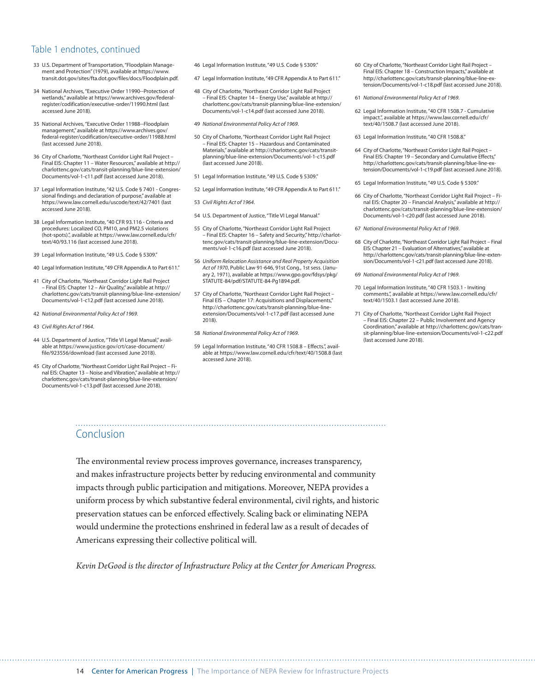### Table 1 endnotes, continued

- 33 U.S. Department of Transportation, "Floodplain Management and Protection" (1979), available at [https://www.](https://www.transit.dot.gov/sites/fta.dot.gov/files/docs/Floodplain.pdf) [transit.dot.gov/sites/fta.dot.gov/files/docs/Floodplain.pdf](https://www.transit.dot.gov/sites/fta.dot.gov/files/docs/Floodplain.pdf).
- 34 National Archives, "Executive Order 11990--Protection of wetlands," available at [https://www.archives.gov/federal](https://www.archives.gov/federal-register/codification/executive-order/11990.html)[register/codification/executive-order/11990.html](https://www.archives.gov/federal-register/codification/executive-order/11990.html) (last accessed June 2018).
- 35 National Archives, "Executive Order 11988--Floodplain management," available at [https://www.archives.gov/](https://www.archives.gov/federal-register/codification/executive-order/11988.html) [federal-register/codification/executive-order/11988.html](https://www.archives.gov/federal-register/codification/executive-order/11988.html) (last accessed June 2018).
- 36 City of Charlotte, "Northeast Corridor Light Rail Project Final EIS: Chapter 11 – Water Resources," available at [http://](http://charlottenc.gov/cats/transit-planning/blue-line-extension/Documents/vol-1-c11.pdf) [charlottenc.gov/cats/transit-planning/blue-line-extension/](http://charlottenc.gov/cats/transit-planning/blue-line-extension/Documents/vol-1-c11.pdf) [Documents/vol-1-c11.pdf](http://charlottenc.gov/cats/transit-planning/blue-line-extension/Documents/vol-1-c11.pdf) (last accessed June 2018).
- 37 Legal Information Institute, "42 U.S. Code § 7401 Congressional findings and declaration of purpose," available at <https://www.law.cornell.edu/uscode/text/42/7401> (last accessed June 2018).
- 38 Legal Information Institute, "40 CFR 93.116 Criteria and procedures: Localized CO, PM10, and PM2.5 violations (hot-spots).", available at [https://www.law.cornell.edu/cfr/](https://www.law.cornell.edu/cfr/text/40/93.116) [text/40/93.116](https://www.law.cornell.edu/cfr/text/40/93.116) (last accessed June 2018).
- 39 Legal Information Institute, "49 U.S. Code § 5309."
- 40 Legal Information Institute, "49 CFR Appendix A to Part 611."
- 41 City of Charlotte, "Northeast Corridor Light Rail Project – Final EIS: Chapter 12 – Air Quality," available at [http://](http://charlottenc.gov/cats/transit-planning/blue-line-extension/Documents/vol-1-c12.pdf) [charlottenc.gov/cats/transit-planning/blue-line-extension/](http://charlottenc.gov/cats/transit-planning/blue-line-extension/Documents/vol-1-c12.pdf) [Documents/vol-1-c12.pdf](http://charlottenc.gov/cats/transit-planning/blue-line-extension/Documents/vol-1-c12.pdf) (last accessed June 2018).
- 42 *National Environmental Policy Act of 1969*.
- 43 *Civil Rights Act of 1964*.
- 44 U.S. Department of Justice, "Title VI Legal Manual," available at [https://www.justice.gov/crt/case-document/](https://www.justice.gov/crt/case-document/file/923556/download) [file/923556/download](https://www.justice.gov/crt/case-document/file/923556/download) (last accessed June 2018).
- 45 City of Charlotte, "Northeast Corridor Light Rail Project Final EIS: Chapter 13 – Noise and Vibration," available at http:// charlottenc.gov/cats/transit-planning/blue-line-extension/ Documents/vol-1-c13.pdf (last accessed June 2018).
- 46 Legal Information Institute, "49 U.S. Code § 5309."
- 47 Legal Information Institute, "49 CFR Appendix A to Part 611."
- 48 City of Charlotte, "Northeast Corridor Light Rail Project – Final EIS: Chapter 14 – Energy Use," available at [http://](http://charlottenc.gov/cats/transit-planning/blue-line-extension/Documents/vol-1-c14.pdf) [charlottenc.gov/cats/transit-planning/blue-line-extension/](http://charlottenc.gov/cats/transit-planning/blue-line-extension/Documents/vol-1-c14.pdf) [Documents/vol-1-c14.pdf](http://charlottenc.gov/cats/transit-planning/blue-line-extension/Documents/vol-1-c14.pdf) (last accessed June 2018).
- 49 *National Environmental Policy Act of 1969*.
- 50 City of Charlotte, "Northeast Corridor Light Rail Project – Final EIS: Chapter 15 – Hazardous and Contaminated Materials," available at [http://charlottenc.gov/cats/transit](http://charlottenc.gov/cats/transit-planning/blue-line-extension/Documents/vol-1-c15.pdf)[planning/blue-line-extension/Documents/vol-1-c15.pdf](http://charlottenc.gov/cats/transit-planning/blue-line-extension/Documents/vol-1-c15.pdf) (last accessed June 2018).
- 51 Legal Information Institute, "49 U.S. Code § 5309."
- 52 Legal Information Institute, "49 CFR Appendix A to Part 611."
- 53 *Civil Rights Act of 1964*.
- 54 U.S. Department of Justice, "Title VI Legal Manual."
- 55 City of Charlotte, "Northeast Corridor Light Rail Project – Final EIS: Chapter 16 – Safety and Security," [http://charlot](http://charlottenc.gov/cats/transit-planning/blue-line-extension/Documents/vol-1-c16.pdf)[tenc.gov/cats/transit-planning/blue-line-extension/Docu](http://charlottenc.gov/cats/transit-planning/blue-line-extension/Documents/vol-1-c16.pdf)[ments/vol-1-c16.pdf](http://charlottenc.gov/cats/transit-planning/blue-line-extension/Documents/vol-1-c16.pdf) (last accessed June 2018).
- 56 *Uniform Relocation Assistance and Real Property Acquisition Act of 1970*, Public Law 91-646, 91st Cong., 1st sess. (January 2, 1971), available at [https://www.gpo.gov/fdsys/pkg/](https://www.gpo.gov/fdsys/pkg/STATUTE-84/pdf/STATUTE-84-Pg1894.pdf) [STATUTE-84/pdf/STATUTE-84-Pg1894.pdf](https://www.gpo.gov/fdsys/pkg/STATUTE-84/pdf/STATUTE-84-Pg1894.pdf).
- 57 City of Charlotte, "Northeast Corridor Light Rail Project Final EIS – Chapter 17: Acquisitions and Displacements," [http://charlottenc.gov/cats/transit-planning/blue-line](http://charlottenc.gov/cats/transit-planning/blue-line-extension/Documents/vol-1-c17.pdf)[extension/Documents/vol-1-c17.pdf](http://charlottenc.gov/cats/transit-planning/blue-line-extension/Documents/vol-1-c17.pdf) (last accessed June 2018).
- 58 *National Environmental Policy Act of 1969*.
- 59 Legal Information Institute, "40 CFR 1508.8 Effects.", available at <https://www.law.cornell.edu/cfr/text/40/1508.8> (last accessed June 2018).

- 60 City of Charlotte, "Northeast Corridor Light Rail Project Final EIS: Chapter 18 – Construction Impacts," available at [http://charlottenc.gov/cats/transit-planning/blue-line-ex](http://charlottenc.gov/cats/transit-planning/blue-line-extension/Documents/vol-1-c18.pdf)[tension/Documents/vol-1-c18.pdf](http://charlottenc.gov/cats/transit-planning/blue-line-extension/Documents/vol-1-c18.pdf) (last accessed June 2018).
- 61 *National Environmental Policy Act of 1969*.
- 62 Legal Information Institute, "40 CFR 1508.7 Cumulative impact.", available at [https://www.law.cornell.edu/cfr/](https://www.law.cornell.edu/cfr/text/40/1508.7) [text/40/1508.7](https://www.law.cornell.edu/cfr/text/40/1508.7) (last accessed June 2018).
- 63 Legal Information Institute, "40 CFR 1508.8."
- 64 City of Charlotte, "Northeast Corridor Light Rail Project Final EIS: Chapter 19 – Secondary and Cumulative Effects," [http://charlottenc.gov/cats/transit-planning/blue-line-ex](http://charlottenc.gov/cats/transit-planning/blue-line-extension/Documents/vol-1-c19.pdf)[tension/Documents/vol-1-c19.pdf](http://charlottenc.gov/cats/transit-planning/blue-line-extension/Documents/vol-1-c19.pdf) (last accessed June 2018).
- 65 Legal Information Institute, "49 U.S. Code § 5309."
- 66 City of Charlotte, "Northeast Corridor Light Rail Project Final EIS: Chapter 20 – Financial Analysis," available at [http://](http://charlottenc.gov/cats/transit-planning/blue-line-extension/Documents/vol-1-c20.pdf) [charlottenc.gov/cats/transit-planning/blue-line-extension/](http://charlottenc.gov/cats/transit-planning/blue-line-extension/Documents/vol-1-c20.pdf) [Documents/vol-1-c20.pdf](http://charlottenc.gov/cats/transit-planning/blue-line-extension/Documents/vol-1-c20.pdf) (last accessed June 2018).
- 67 *National Environmental Policy Act of 1969*.
- 68 City of Charlotte, "Northeast Corridor Light Rail Project Final EIS: Chapter 21 – Evaluation of Alternatives," available at [http://charlottenc.gov/cats/transit-planning/blue-line-exten](http://charlottenc.gov/cats/transit-planning/blue-line-extension/Documents/vol-1-c21.pdf)[sion/Documents/vol-1-c21.pdf](http://charlottenc.gov/cats/transit-planning/blue-line-extension/Documents/vol-1-c21.pdf) (last accessed June 2018).
- 69 *National Environmental Policy Act of 1969*.
- 70 Legal Information Institute, "40 CFR 1503.1 Inviting comments.", available at [https://www.law.cornell.edu/cfr/](https://www.law.cornell.edu/cfr/text/40/1503.1) [text/40/1503.1](https://www.law.cornell.edu/cfr/text/40/1503.1) (last accessed June 2018).
- 71 City of Charlotte, "Northeast Corridor Light Rail Project – Final EIS: Chapter 22 – Public Involvement and Agency Coordination," available at [http://charlottenc.gov/cats/tran](http://charlottenc.gov/cats/transit-planning/blue-line-extension/Documents/vol-1-c22.pdf)[sit-planning/blue-line-extension/Documents/vol-1-c22.pdf](http://charlottenc.gov/cats/transit-planning/blue-line-extension/Documents/vol-1-c22.pdf) (last accessed June 2018).

## Conclusion

The environmental review process improves governance, increases transparency, and makes infrastructure projects better by reducing environmental and community impacts through public participation and mitigations. Moreover, NEPA provides a uniform process by which substantive federal environmental, civil rights, and historic preservation statues can be enforced efectively. Scaling back or eliminating NEPA would undermine the protections enshrined in federal law as a result of decades of Americans expressing their collective political will.

*Kevin DeGood is the director of Infastructure Policy at the Center for American Progress.*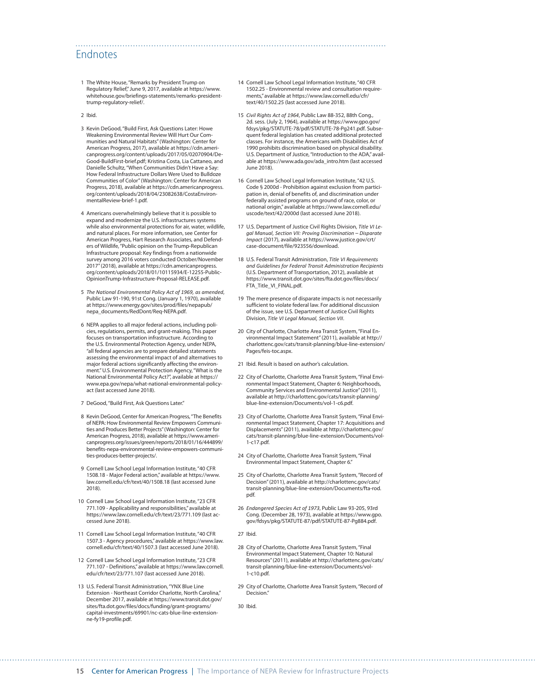## <span id="page-14-0"></span>Endnotes

- [1](#page-0-0) The White House, "Remarks by President Trump on Regulatory Relief," June 9, 2017, available at [https://www.](https://www.whitehouse.gov/briefings-statements/remarks-president-trump-regulatory-relief/) [whitehouse.gov/briefings-statements/remarks-president](https://www.whitehouse.gov/briefings-statements/remarks-president-trump-regulatory-relief/)[trump-regulatory-relief/.](https://www.whitehouse.gov/briefings-statements/remarks-president-trump-regulatory-relief/)
- [2](#page-0-0) Ibid.
- [3](#page-0-0) Kevin DeGood, "Build First, Ask Questions Later: Howe Weakening Environmental Review Will Hurt Our Communities and Natural Habitats" (Washington: Center for American Progress, 2017), available at [https://cdn.ameri](https://cdn.americanprogress.org/content/uploads/2017/05/02070904/DeGood-BuildFirst-brief.pdf)[canprogress.org/content/uploads/2017/05/02070904/De-](https://cdn.americanprogress.org/content/uploads/2017/05/02070904/DeGood-BuildFirst-brief.pdf)[Good-BuildFirst-brief.pdf](https://cdn.americanprogress.org/content/uploads/2017/05/02070904/DeGood-BuildFirst-brief.pdf); Kristina Costa, Lia Cattaneo, and Danielle Schultz, "When Communities Didn't Have a Say: How Federal Infrastructure Dollars Were Used to Bulldoze Communities of Color" (Washington: Center for American Progress, 2018), available at [https://cdn.americanprogress.](https://cdn.americanprogress.org/content/uploads/2018/04/23082638/CostaEnvironmentalReview-brief-1.pdf) [org/content/uploads/2018/04/23082638/CostaEnviron](https://cdn.americanprogress.org/content/uploads/2018/04/23082638/CostaEnvironmentalReview-brief-1.pdf)[mentalReview-brief-1.pdf.](https://cdn.americanprogress.org/content/uploads/2018/04/23082638/CostaEnvironmentalReview-brief-1.pdf)
- [4](#page-0-0) Americans overwhelmingly believe that it is possible to expand and modernize the U.S. infrastructures systems while also environmental protections for air, water, wildlife, and natural places. For more information, see Center for American Progress, Hart Research Associates, and Defenders of Wildlife, "Public opinion on the Trump-Republican Infrastructure proposal: Key findings from a nationwide survey among 2016 voters conducted October/November 2017" (2018), available at [https://cdn.americanprogress.](https://cdn.americanprogress.org/content/uploads/2018/01/10115934/E-12255-Public-OpinionTrump-Infrastructure-Proposal-RELEASE.pdf) [org/content/uploads/2018/01/10115934/E-12255-Public-](https://cdn.americanprogress.org/content/uploads/2018/01/10115934/E-12255-Public-OpinionTrump-Infrastructure-Proposal-RELEASE.pdf)[OpinionTrump-Infrastructure-Proposal-RELEASE.pdf.](https://cdn.americanprogress.org/content/uploads/2018/01/10115934/E-12255-Public-OpinionTrump-Infrastructure-Proposal-RELEASE.pdf)
- [5](#page-1-0) *The National Environmental Policy Act of 1969, as amended*, Public Law 91-190, 91st Cong. (January 1, 1970), available at [https://www.energy.gov/sites/prod/files/nepapub/](https://www.energy.gov/sites/prod/files/nepapub/nepa_documents/RedDont/Req-NEPA.pdf) [nepa\\_documents/RedDont/Req-NEPA.pdf](https://www.energy.gov/sites/prod/files/nepapub/nepa_documents/RedDont/Req-NEPA.pdf).
- [6](#page-1-0) NEPA applies to all major federal actions, including policies, regulations, permits, and grant-making. This paper focuses on transportation infrastructure. According to the U.S. Environmental Protection Agency, under NEPA, "all federal agencies are to prepare detailed statements assessing the environmental impact of and alternatives to major federal actions significantly affecting the environment." U.S. Environmental Protection Agency, "What is the National Environmental Policy Act?", available at [https://](https://www.epa.gov/nepa/what-national-environmental-policy-act) [www.epa.gov/nepa/what-national-environmental-policy](https://www.epa.gov/nepa/what-national-environmental-policy-act)[act](https://www.epa.gov/nepa/what-national-environmental-policy-act) (last accessed June 2018).
- [7](#page-1-0) DeGood, "Build First, Ask Questions Later."
- [8](#page-1-0) Kevin DeGood, Center for American Progress, "The Benefits of NEPA: How Environmental Review Empowers Communities and Produces Better Projects" (Washington: Center for American Progress, 2018), available at [https://www.ameri](https://www.americanprogress.org/issues/green/reports/2018/01/16/444899/benefits-nepa-environmental-review-empowers-communities-produces-better-projects/)[canprogress.org/issues/green/reports/2018/01/16/444899/](https://www.americanprogress.org/issues/green/reports/2018/01/16/444899/benefits-nepa-environmental-review-empowers-communities-produces-better-projects/) [benefits-nepa-environmental-review-empowers-communi](https://www.americanprogress.org/issues/green/reports/2018/01/16/444899/benefits-nepa-environmental-review-empowers-communities-produces-better-projects/)[ties-produces-better-projects/](https://www.americanprogress.org/issues/green/reports/2018/01/16/444899/benefits-nepa-environmental-review-empowers-communities-produces-better-projects/).
- [9](#page-1-0) Cornell Law School Legal Information Institute, "40 CFR 1508.18 - Major Federal action," available at [https://www.](https://www.law.cornell.edu/cfr/text/40/1508.18) [law.cornell.edu/cfr/text/40/1508.18](https://www.law.cornell.edu/cfr/text/40/1508.18) (last accessed June 2018).
- 10 Cornell Law School Legal Information Institute, "23 CFR 771.109 - Applicability and responsibilities," available at <https://www.law.cornell.edu/cfr/text/23/771.109>(last accessed June 2018).
- 11 Cornell Law School Legal Information Institute, "40 CFR 1507.3 - Agency procedures," available at [https://www.law.](https://www.law.cornell.edu/cfr/text/40/1507.3) [cornell.edu/cfr/text/40/1507.3](https://www.law.cornell.edu/cfr/text/40/1507.3) (last accessed June 2018).
- 12 Cornell Law School Legal Information Institute, "23 CFR 771.107 - Definitions," available at [https://www.law.cornell.](https://www.law.cornell.edu/cfr/text/23/771.107) [edu/cfr/text/23/771.107](https://www.law.cornell.edu/cfr/text/23/771.107) (last accessed June 2018).
- 13 U.S. Federal Transit Administration, "YNX Blue Line Extension - Northeast Corridor Charlotte, North Carolina," December 2017, available at [https://www.transit.dot.gov/](https://www.transit.dot.gov/sites/fta.dot.gov/files/docs/funding/grant-programs/capital-investments/69901/nc-cats-blue-line-extension-ne-fy19-profile.pdf) [sites/fta.dot.gov/files/docs/funding/grant-programs/](https://www.transit.dot.gov/sites/fta.dot.gov/files/docs/funding/grant-programs/capital-investments/69901/nc-cats-blue-line-extension-ne-fy19-profile.pdf) [capital-investments/69901/nc-cats-blue-line-extension](https://www.transit.dot.gov/sites/fta.dot.gov/files/docs/funding/grant-programs/capital-investments/69901/nc-cats-blue-line-extension-ne-fy19-profile.pdf)[ne-fy19-profile.pdf.](https://www.transit.dot.gov/sites/fta.dot.gov/files/docs/funding/grant-programs/capital-investments/69901/nc-cats-blue-line-extension-ne-fy19-profile.pdf)

14 Cornell Law School Legal Information Institute, "40 CFR 1502.25 - Environmental review and consultation requirements," available at [https://www.law.cornell.edu/cfr/](https://www.law.cornell.edu/cfr/text/40/1502.25) [text/40/1502.25](https://www.law.cornell.edu/cfr/text/40/1502.25) (last accessed June 2018).

- 15 *Civil Rights Act of 1964*, Public Law 88-352, 88th Cong., 2d. sess. (July 2, 1964), available at [https://www.gpo.gov/](https://www.gpo.gov/fdsys/pkg/STATUTE-78/pdf/STATUTE-78-Pg241.pdf) [fdsys/pkg/STATUTE-78/pdf/STATUTE-78-Pg241.pdf](https://www.gpo.gov/fdsys/pkg/STATUTE-78/pdf/STATUTE-78-Pg241.pdf). Subsequent federal legislation has created additional protected classes. For instance, the Americans with Disabilities Act of 1990 prohibits discrimination based on physical disability. U.S. Department of Justice, "Introduction to the ADA," available at [https://www.ada.gov/ada\\_intro.htm](https://www.ada.gov/ada_intro.htm) (last accessed June 2018).
- 16 Cornell Law School Legal Information Institute, "42 U.S. Code § 2000d - Prohibition against exclusion from participation in, denial of benefits of, and discrimination under federally assisted programs on ground of race, color, or national origin," available at [https://www.law.cornell.edu/](https://www.law.cornell.edu/uscode/text/42/2000d) [uscode/text/42/2000d](https://www.law.cornell.edu/uscode/text/42/2000d) (last accessed June 2018).
- 17 U.S. Department of Justice Civil Rights Division, *Title VI Legal Manual, Section VII: Proving Discrimination – Disparate Impact* (2017), available at [https://www.justice.gov/crt/](https://www.justice.gov/crt/case-document/file/923556/download) [case-document/file/923556/download.](https://www.justice.gov/crt/case-document/file/923556/download)
- 18 U.S. Federal Transit Administration, *Title VI Requirements and Guidelines for Federal Transit Administration Recipients* (U.S. Department of Transportation, 2012), available at [https://www.transit.dot.gov/sites/fta.dot.gov/files/docs/](https://www.transit.dot.gov/sites/fta.dot.gov/files/docs/FTA_Title_VI_FINAL.pdf) [FTA\\_Title\\_VI\\_FINAL.pdf.](https://www.transit.dot.gov/sites/fta.dot.gov/files/docs/FTA_Title_VI_FINAL.pdf)
- 19 The mere presence of disparate impacts is not necessarily sufficient to violate federal law. For additional discussion of the issue, see U.S. Department of Justice Civil Rights Division, *Title VI Legal Manual, Section VII*.
- 20 City of Charlotte, Charlotte Area Transit System, "Final Environmental Impact Statement" (2011), available at [http://](http://charlottenc.gov/cats/transit-planning/blue-line-extension/Pages/feis-toc.aspx) [charlottenc.gov/cats/transit-planning/blue-line-extension/](http://charlottenc.gov/cats/transit-planning/blue-line-extension/Pages/feis-toc.aspx) [Pages/feis-toc.aspx](http://charlottenc.gov/cats/transit-planning/blue-line-extension/Pages/feis-toc.aspx).
- 21 Ibid. Result is based on author's calculation.
- 22 City of Charlotte, Charlotte Area Transit System, "Final Environmental Impact Statement, Chapter 6: Neighborhoods, Community Services and Environmental Justice" (2011), available at [http://charlottenc.gov/cats/transit-planning/](http://charlottenc.gov/cats/transit-planning/blue-line-extension/Documents/vol-1-c6.pdf) [blue-line-extension/Documents/vol-1-c6.pdf](http://charlottenc.gov/cats/transit-planning/blue-line-extension/Documents/vol-1-c6.pdf).
- 23 City of Charlotte, Charlotte Area Transit System, "Final Environmental Impact Statement, Chapter 17: Acquisitions and Displacements" (2011), available at [http://charlottenc.gov/](http://charlottenc.gov/cats/transit-planning/blue-line-extension/Documents/vol-1-c17.pdf) [cats/transit-planning/blue-line-extension/Documents/vol-](http://charlottenc.gov/cats/transit-planning/blue-line-extension/Documents/vol-1-c17.pdf)[1-c17.pdf](http://charlottenc.gov/cats/transit-planning/blue-line-extension/Documents/vol-1-c17.pdf).
- 24 City of Charlotte, Charlotte Area Transit System, "Final Environmental Impact Statement, Chapter 6."
- 25 City of Charlotte, Charlotte Area Transit System, "Record of Decision" (2011), available at [http://charlottenc.gov/cats/](http://charlottenc.gov/cats/transit-planning/blue-line-extension/Documents/fta-rod.pdf) [transit-planning/blue-line-extension/Documents/fta-rod.](http://charlottenc.gov/cats/transit-planning/blue-line-extension/Documents/fta-rod.pdf) [pdf](http://charlottenc.gov/cats/transit-planning/blue-line-extension/Documents/fta-rod.pdf).
- 26 *Endangered Species Act of 1973*, Public Law 93-205, 93rd Cong. (December 28, 1973), available at [https://www.gpo.](https://www.gpo.gov/fdsys/pkg/STATUTE-87/pdf/STATUTE-87-Pg884.pdf) [gov/fdsys/pkg/STATUTE-87/pdf/STATUTE-87-Pg884.pdf.](https://www.gpo.gov/fdsys/pkg/STATUTE-87/pdf/STATUTE-87-Pg884.pdf)
- 27 Ibid.
- 28 City of Charlotte, Charlotte Area Transit System, "Final Environmental Impact Statement, Chapter 10: Natural Resources" (2011), available at [http://charlottenc.gov/cats/](http://charlottenc.gov/cats/transit-planning/blue-line-extension/Documents/vol-1-c10.pdf) [transit-planning/blue-line-extension/Documents/vol-](http://charlottenc.gov/cats/transit-planning/blue-line-extension/Documents/vol-1-c10.pdf)[1-c10.pdf](http://charlottenc.gov/cats/transit-planning/blue-line-extension/Documents/vol-1-c10.pdf).
- 29 City of Charlotte, Charlotte Area Transit System, "Record of Decision."

30 Ibid.